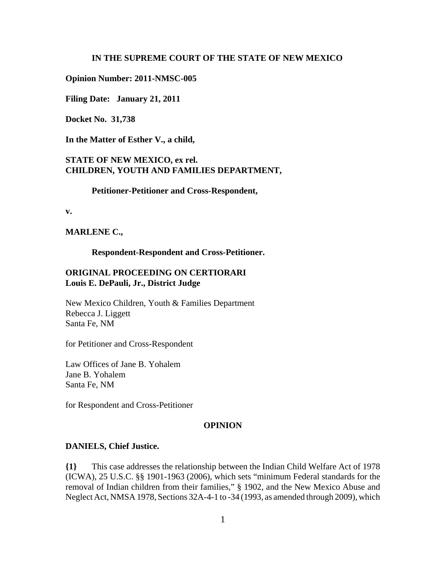#### **IN THE SUPREME COURT OF THE STATE OF NEW MEXICO**

#### **Opinion Number: 2011-NMSC-005**

**Filing Date: January 21, 2011** 

**Docket No. 31,738**

**In the Matter of Esther V., a child,**

## **STATE OF NEW MEXICO, ex rel. CHILDREN, YOUTH AND FAMILIES DEPARTMENT,**

#### **Petitioner-Petitioner and Cross-Respondent,**

**v.**

**MARLENE C.,**

**Respondent-Respondent and Cross-Petitioner.**

## **ORIGINAL PROCEEDING ON CERTIORARI Louis E. DePauli, Jr., District Judge**

New Mexico Children, Youth & Families Department Rebecca J. Liggett Santa Fe, NM

for Petitioner and Cross-Respondent

Law Offices of Jane B. Yohalem Jane B. Yohalem Santa Fe, NM

for Respondent and Cross-Petitioner

#### **OPINION**

#### **DANIELS, Chief Justice.**

**{1}** This case addresses the relationship between the Indian Child Welfare Act of 1978 (ICWA), 25 U.S.C. §§ 1901-1963 (2006), which sets "minimum Federal standards for the removal of Indian children from their families," § 1902, and the New Mexico Abuse and Neglect Act, NMSA 1978, Sections 32A-4-1 to -34 (1993, as amended through 2009), which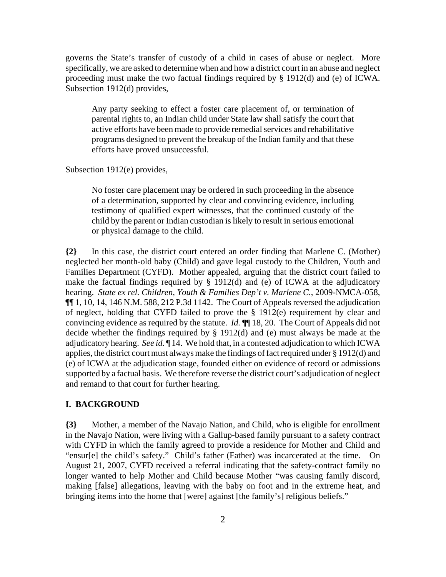governs the State's transfer of custody of a child in cases of abuse or neglect. More specifically, we are asked to determine when and how a district court in an abuse and neglect proceeding must make the two factual findings required by § 1912(d) and (e) of ICWA. Subsection 1912(d) provides,

Any party seeking to effect a foster care placement of, or termination of parental rights to, an Indian child under State law shall satisfy the court that active efforts have been made to provide remedial services and rehabilitative programs designed to prevent the breakup of the Indian family and that these efforts have proved unsuccessful.

Subsection 1912(e) provides,

No foster care placement may be ordered in such proceeding in the absence of a determination, supported by clear and convincing evidence, including testimony of qualified expert witnesses, that the continued custody of the child by the parent or Indian custodian is likely to result in serious emotional or physical damage to the child.

**{2}** In this case, the district court entered an order finding that Marlene C. (Mother) neglected her month-old baby (Child) and gave legal custody to the Children, Youth and Families Department (CYFD). Mother appealed, arguing that the district court failed to make the factual findings required by § 1912(d) and (e) of ICWA at the adjudicatory hearing. *State ex rel. Children, Youth & Families Dep't v. Marlene C.*, 2009-NMCA-058, ¶¶ 1, 10, 14, 146 N.M. 588, 212 P.3d 1142. The Court of Appeals reversed the adjudication of neglect, holding that CYFD failed to prove the § 1912(e) requirement by clear and convincing evidence as required by the statute. *Id.* ¶¶ 18, 20. The Court of Appeals did not decide whether the findings required by § 1912(d) and (e) must always be made at the adjudicatory hearing. *See id.* ¶ 14. We hold that, in a contested adjudication to which ICWA applies, the district court must always make the findings of fact required under § 1912(d) and (e) of ICWA at the adjudication stage, founded either on evidence of record or admissions supported by a factual basis. We therefore reverse the district court's adjudication of neglect and remand to that court for further hearing.

### **I. BACKGROUND**

**{3}** Mother, a member of the Navajo Nation, and Child, who is eligible for enrollment in the Navajo Nation, were living with a Gallup-based family pursuant to a safety contract with CYFD in which the family agreed to provide a residence for Mother and Child and "ensur[e] the child's safety." Child's father (Father) was incarcerated at the time. On August 21, 2007, CYFD received a referral indicating that the safety-contract family no longer wanted to help Mother and Child because Mother "was causing family discord, making [false] allegations, leaving with the baby on foot and in the extreme heat, and bringing items into the home that [were] against [the family's] religious beliefs."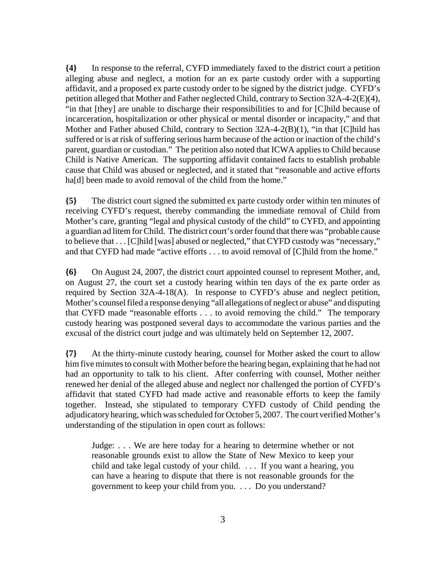**{4}** In response to the referral, CYFD immediately faxed to the district court a petition alleging abuse and neglect, a motion for an ex parte custody order with a supporting affidavit, and a proposed ex parte custody order to be signed by the district judge. CYFD's petition alleged that Mother and Father neglected Child, contrary to Section 32A-4-2(E)(4), "in that [they] are unable to discharge their responsibilities to and for [C]hild because of incarceration, hospitalization or other physical or mental disorder or incapacity," and that Mother and Father abused Child, contrary to Section 32A-4-2(B)(1), "in that [C]hild has suffered or is at risk of suffering serious harm because of the action or inaction of the child's parent, guardian or custodian." The petition also noted that ICWA applies to Child because Child is Native American. The supporting affidavit contained facts to establish probable cause that Child was abused or neglected, and it stated that "reasonable and active efforts ha<sup>[d]</sup> been made to avoid removal of the child from the home."

**{5}** The district court signed the submitted ex parte custody order within ten minutes of receiving CYFD's request, thereby commanding the immediate removal of Child from Mother's care, granting "legal and physical custody of the child" to CYFD, and appointing a guardian ad litem for Child. The district court's order found that there was "probable cause to believe that . . . [C]hild [was] abused or neglected," that CYFD custody was "necessary," and that CYFD had made "active efforts . . . to avoid removal of [C]hild from the home."

**{6}** On August 24, 2007, the district court appointed counsel to represent Mother, and, on August 27, the court set a custody hearing within ten days of the ex parte order as required by Section 32A-4-18(A). In response to CYFD's abuse and neglect petition, Mother's counsel filed a response denying "all allegations of neglect or abuse" and disputing that CYFD made "reasonable efforts . . . to avoid removing the child." The temporary custody hearing was postponed several days to accommodate the various parties and the excusal of the district court judge and was ultimately held on September 12, 2007.

**{7}** At the thirty-minute custody hearing, counsel for Mother asked the court to allow him five minutes to consult with Mother before the hearing began, explaining that he had not had an opportunity to talk to his client. After conferring with counsel, Mother neither renewed her denial of the alleged abuse and neglect nor challenged the portion of CYFD's affidavit that stated CYFD had made active and reasonable efforts to keep the family together. Instead, she stipulated to temporary CYFD custody of Child pending the adjudicatory hearing, which was scheduled for October 5, 2007. The court verified Mother's understanding of the stipulation in open court as follows:

Judge: . . . We are here today for a hearing to determine whether or not reasonable grounds exist to allow the State of New Mexico to keep your child and take legal custody of your child. . . . If you want a hearing, you can have a hearing to dispute that there is not reasonable grounds for the government to keep your child from you. . . . Do you understand?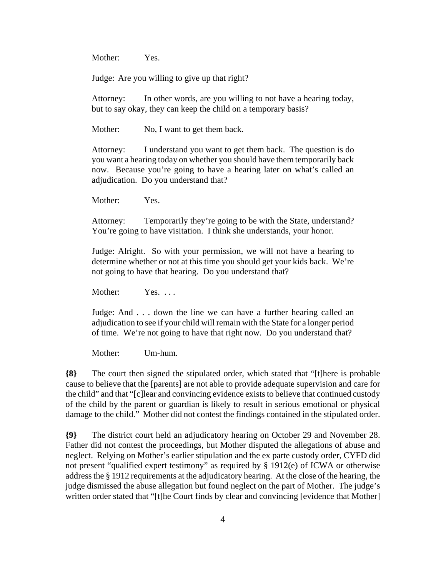Mother: Yes.

Judge: Are you willing to give up that right?

Attorney: In other words, are you willing to not have a hearing today, but to say okay, they can keep the child on a temporary basis?

Mother: No, I want to get them back.

Attorney: I understand you want to get them back. The question is do you want a hearing today on whether you should have them temporarily back now. Because you're going to have a hearing later on what's called an adjudication. Do you understand that?

Mother: Yes.

Attorney: Temporarily they're going to be with the State, understand? You're going to have visitation. I think she understands, your honor.

Judge: Alright. So with your permission, we will not have a hearing to determine whether or not at this time you should get your kids back. We're not going to have that hearing. Do you understand that?

Mother: Yes. ...

Judge: And . . . down the line we can have a further hearing called an adjudication to see if your child will remain with the State for a longer period of time. We're not going to have that right now. Do you understand that?

Mother: Um-hum.

**{8}** The court then signed the stipulated order, which stated that "[t]here is probable cause to believe that the [parents] are not able to provide adequate supervision and care for the child" and that "[c]lear and convincing evidence exists to believe that continued custody of the child by the parent or guardian is likely to result in serious emotional or physical damage to the child." Mother did not contest the findings contained in the stipulated order.

**{9}** The district court held an adjudicatory hearing on October 29 and November 28. Father did not contest the proceedings, but Mother disputed the allegations of abuse and neglect. Relying on Mother's earlier stipulation and the ex parte custody order, CYFD did not present "qualified expert testimony" as required by § 1912(e) of ICWA or otherwise address the § 1912 requirements at the adjudicatory hearing. At the close of the hearing, the judge dismissed the abuse allegation but found neglect on the part of Mother. The judge's written order stated that "[t]he Court finds by clear and convincing [evidence that Mother]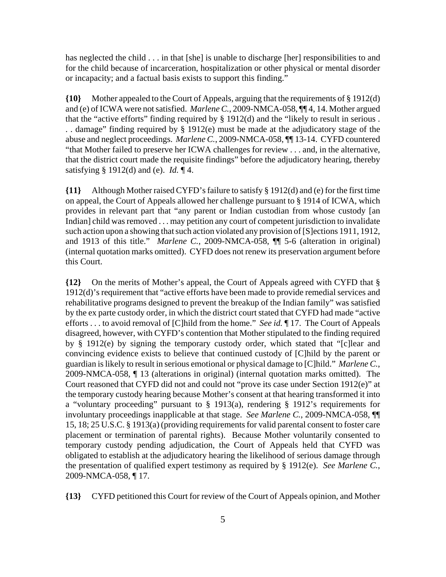has neglected the child . . . in that [she] is unable to discharge [her] responsibilities to and for the child because of incarceration, hospitalization or other physical or mental disorder or incapacity; and a factual basis exists to support this finding."

**{10}** Mother appealed to the Court of Appeals, arguing that the requirements of § 1912(d) and (e) of ICWA were not satisfied. *Marlene C.*, 2009-NMCA-058, ¶¶ 4, 14. Mother argued that the "active efforts" finding required by § 1912(d) and the "likely to result in serious . . . damage" finding required by § 1912(e) must be made at the adjudicatory stage of the abuse and neglect proceedings. *Marlene C.*, 2009-NMCA-058, ¶¶ 13-14. CYFD countered "that Mother failed to preserve her ICWA challenges for review . . . and, in the alternative, that the district court made the requisite findings" before the adjudicatory hearing, thereby satisfying § 1912(d) and (e). *Id.* ¶ 4.

**{11}** Although Mother raised CYFD's failure to satisfy § 1912(d) and (e) for the first time on appeal, the Court of Appeals allowed her challenge pursuant to § 1914 of ICWA, which provides in relevant part that "any parent or Indian custodian from whose custody [an Indian] child was removed . . . may petition any court of competent jurisdiction to invalidate such action upon a showing that such action violated any provision of [S]ections 1911, 1912, and 1913 of this title." *Marlene C.*, 2009-NMCA-058, ¶¶ 5-6 (alteration in original) (internal quotation marks omitted). CYFD does not renew its preservation argument before this Court.

**{12}** On the merits of Mother's appeal, the Court of Appeals agreed with CYFD that § 1912(d)'s requirement that "active efforts have been made to provide remedial services and rehabilitative programs designed to prevent the breakup of the Indian family" was satisfied by the ex parte custody order, in which the district court stated that CYFD had made "active efforts . . . to avoid removal of [C]hild from the home." *See id.* ¶ 17. The Court of Appeals disagreed, however, with CYFD's contention that Mother stipulated to the finding required by § 1912(e) by signing the temporary custody order, which stated that "[c]lear and convincing evidence exists to believe that continued custody of [C]hild by the parent or guardian is likely to result in serious emotional or physical damage to [C]hild." *Marlene C.*, 2009-NMCA-058, ¶ 13 (alterations in original) (internal quotation marks omitted). The Court reasoned that CYFD did not and could not "prove its case under Section 1912(e)" at the temporary custody hearing because Mother's consent at that hearing transformed it into a "voluntary proceeding" pursuant to § 1913(a), rendering § 1912's requirements for involuntary proceedings inapplicable at that stage. *See Marlene C.*, 2009-NMCA-058, ¶¶ 15, 18; 25 U.S.C. § 1913(a) (providing requirements for valid parental consent to foster care placement or termination of parental rights). Because Mother voluntarily consented to temporary custody pending adjudication, the Court of Appeals held that CYFD was obligated to establish at the adjudicatory hearing the likelihood of serious damage through the presentation of qualified expert testimony as required by § 1912(e). *See Marlene C.*, 2009-NMCA-058, ¶ 17.

**{13}** CYFD petitioned this Court for review of the Court of Appeals opinion, and Mother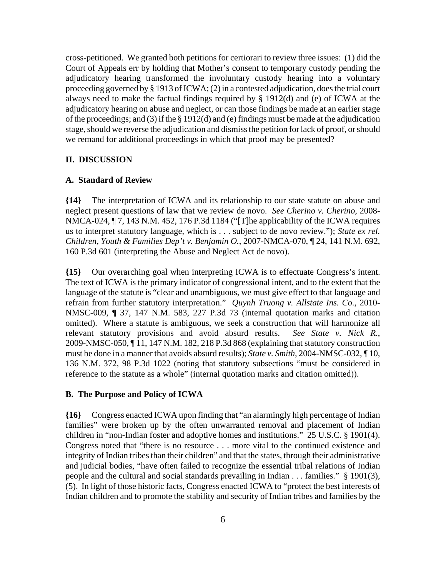cross-petitioned. We granted both petitions for certiorari to review three issues: (1) did the Court of Appeals err by holding that Mother's consent to temporary custody pending the adjudicatory hearing transformed the involuntary custody hearing into a voluntary proceeding governed by § 1913 of ICWA; (2) in a contested adjudication, does the trial court always need to make the factual findings required by § 1912(d) and (e) of ICWA at the adjudicatory hearing on abuse and neglect, or can those findings be made at an earlier stage of the proceedings; and (3) if the § 1912(d) and (e) findings must be made at the adjudication stage, should we reverse the adjudication and dismiss the petition for lack of proof, or should we remand for additional proceedings in which that proof may be presented?

#### **II. DISCUSSION**

#### **A. Standard of Review**

**{14}** The interpretation of ICWA and its relationship to our state statute on abuse and neglect present questions of law that we review de novo. *See Cherino v. Cherino*, 2008- NMCA-024, ¶ 7, 143 N.M. 452, 176 P.3d 1184 ("[T]he applicability of the ICWA requires us to interpret statutory language, which is . . . subject to de novo review."); *State ex rel. Children, Youth & Families Dep't v. Benjamin O.*, 2007-NMCA-070, ¶ 24, 141 N.M. 692, 160 P.3d 601 (interpreting the Abuse and Neglect Act de novo).

**{15}** Our overarching goal when interpreting ICWA is to effectuate Congress's intent. The text of ICWA is the primary indicator of congressional intent, and to the extent that the language of the statute is "clear and unambiguous, we must give effect to that language and refrain from further statutory interpretation." *Quynh Truong v. Allstate Ins. Co.*, 2010- NMSC-009, ¶ 37, 147 N.M. 583, 227 P.3d 73 (internal quotation marks and citation omitted). Where a statute is ambiguous, we seek a construction that will harmonize all relevant statutory provisions and avoid absurd results. *See State v. Nick R.*, 2009-NMSC-050, ¶ 11, 147 N.M. 182, 218 P.3d 868 (explaining that statutory construction must be done in a manner that avoids absurd results); *State v. Smith*, 2004-NMSC-032, ¶ 10, 136 N.M. 372, 98 P.3d 1022 (noting that statutory subsections "must be considered in reference to the statute as a whole" (internal quotation marks and citation omitted)).

### **B. The Purpose and Policy of ICWA**

**{16}** Congress enacted ICWA upon finding that "an alarmingly high percentage of Indian families" were broken up by the often unwarranted removal and placement of Indian children in "non-Indian foster and adoptive homes and institutions." 25 U.S.C. § 1901(4). Congress noted that "there is no resource . . . more vital to the continued existence and integrity of Indian tribes than their children" and that the states, through their administrative and judicial bodies, "have often failed to recognize the essential tribal relations of Indian people and the cultural and social standards prevailing in Indian . . . families." § 1901(3), (5). In light of those historic facts, Congress enacted ICWA to "protect the best interests of Indian children and to promote the stability and security of Indian tribes and families by the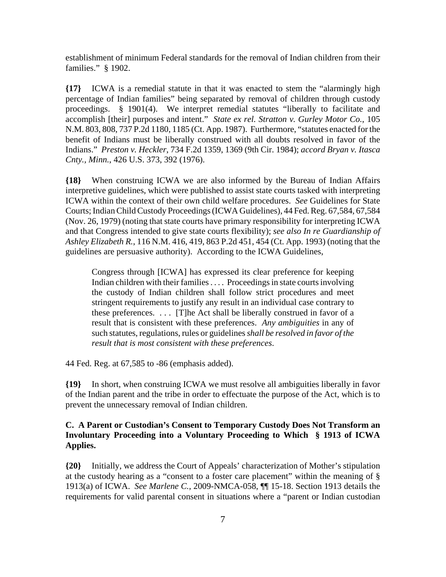establishment of minimum Federal standards for the removal of Indian children from their families." § 1902.

**{17}** ICWA is a remedial statute in that it was enacted to stem the "alarmingly high percentage of Indian families" being separated by removal of children through custody proceedings. § 1901(4). We interpret remedial statutes "liberally to facilitate and accomplish [their] purposes and intent." *State ex rel. Stratton v. Gurley Motor Co.*, 105 N.M. 803, 808, 737 P.2d 1180, 1185 (Ct. App. 1987). Furthermore, "statutes enacted for the benefit of Indians must be liberally construed with all doubts resolved in favor of the Indians." *Preston v. Heckler*, 734 F.2d 1359, 1369 (9th Cir. 1984); *accord Bryan v. Itasca Cnty., Minn.*, 426 U.S. 373, 392 (1976).

**{18}** When construing ICWA we are also informed by the Bureau of Indian Affairs interpretive guidelines, which were published to assist state courts tasked with interpreting ICWA within the context of their own child welfare procedures. *See* Guidelines for State Courts; Indian Child Custody Proceedings (ICWA Guidelines), 44 Fed. Reg. 67,584, 67,584 (Nov. 26, 1979) (noting that state courts have primary responsibility for interpreting ICWA and that Congress intended to give state courts flexibility); *see also In re Guardianship of Ashley Elizabeth R.*, 116 N.M. 416, 419, 863 P.2d 451, 454 (Ct. App. 1993) (noting that the guidelines are persuasive authority). According to the ICWA Guidelines,

Congress through [ICWA] has expressed its clear preference for keeping Indian children with their families . . . . Proceedings in state courts involving the custody of Indian children shall follow strict procedures and meet stringent requirements to justify any result in an individual case contrary to these preferences. . . . [T]he Act shall be liberally construed in favor of a result that is consistent with these preferences. *Any ambiguities* in any of such statutes, regulations, rules or guidelines *shall be resolved in favor of the result that is most consistent with these preferences*.

44 Fed. Reg. at 67,585 to -86 (emphasis added).

**{19}** In short, when construing ICWA we must resolve all ambiguities liberally in favor of the Indian parent and the tribe in order to effectuate the purpose of the Act, which is to prevent the unnecessary removal of Indian children.

## **C. A Parent or Custodian's Consent to Temporary Custody Does Not Transform an Involuntary Proceeding into a Voluntary Proceeding to Which § 1913 of ICWA Applies.**

**{20}** Initially, we address the Court of Appeals' characterization of Mother's stipulation at the custody hearing as a "consent to a foster care placement" within the meaning of § 1913(a) of ICWA. *See Marlene C.*, 2009-NMCA-058, ¶¶ 15-18. Section 1913 details the requirements for valid parental consent in situations where a "parent or Indian custodian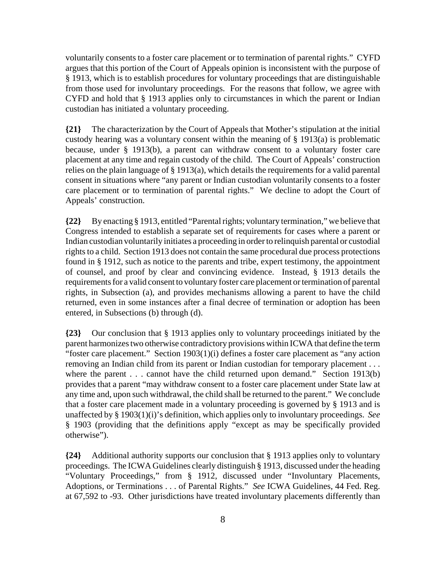voluntarily consents to a foster care placement or to termination of parental rights." CYFD argues that this portion of the Court of Appeals opinion is inconsistent with the purpose of § 1913, which is to establish procedures for voluntary proceedings that are distinguishable from those used for involuntary proceedings. For the reasons that follow, we agree with CYFD and hold that § 1913 applies only to circumstances in which the parent or Indian custodian has initiated a voluntary proceeding.

**{21}** The characterization by the Court of Appeals that Mother's stipulation at the initial custody hearing was a voluntary consent within the meaning of § 1913(a) is problematic because, under § 1913(b), a parent can withdraw consent to a voluntary foster care placement at any time and regain custody of the child. The Court of Appeals' construction relies on the plain language of § 1913(a), which details the requirements for a valid parental consent in situations where "any parent or Indian custodian voluntarily consents to a foster care placement or to termination of parental rights." We decline to adopt the Court of Appeals' construction.

**{22}** By enacting § 1913, entitled "Parental rights; voluntary termination," we believe that Congress intended to establish a separate set of requirements for cases where a parent or Indian custodian voluntarily initiates a proceeding in order to relinquish parental or custodial rights to a child. Section 1913 does not contain the same procedural due process protections found in § 1912, such as notice to the parents and tribe, expert testimony, the appointment of counsel, and proof by clear and convincing evidence. Instead, § 1913 details the requirements for a valid consent to voluntary foster care placement or termination of parental rights, in Subsection (a), and provides mechanisms allowing a parent to have the child returned, even in some instances after a final decree of termination or adoption has been entered, in Subsections (b) through (d).

**{23}** Our conclusion that § 1913 applies only to voluntary proceedings initiated by the parent harmonizes two otherwise contradictory provisions within ICWA that define the term "foster care placement." Section 1903(1)(i) defines a foster care placement as "any action removing an Indian child from its parent or Indian custodian for temporary placement . . . where the parent . . . cannot have the child returned upon demand." Section 1913(b) provides that a parent "may withdraw consent to a foster care placement under State law at any time and, upon such withdrawal, the child shall be returned to the parent." We conclude that a foster care placement made in a voluntary proceeding is governed by § 1913 and is unaffected by § 1903(1)(i)'s definition, which applies only to involuntary proceedings. *See* § 1903 (providing that the definitions apply "except as may be specifically provided otherwise").

**{24}** Additional authority supports our conclusion that § 1913 applies only to voluntary proceedings. The ICWA Guidelines clearly distinguish § 1913, discussed under the heading "Voluntary Proceedings," from § 1912, discussed under "Involuntary Placements, Adoptions, or Terminations . . . of Parental Rights." *See* ICWA Guidelines, 44 Fed. Reg. at 67,592 to -93. Other jurisdictions have treated involuntary placements differently than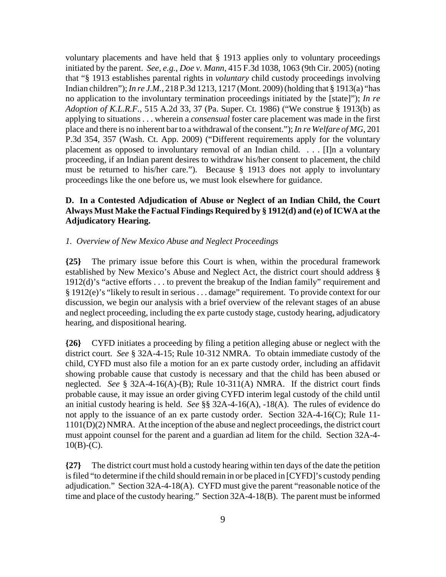voluntary placements and have held that § 1913 applies only to voluntary proceedings initiated by the parent. *See, e.g.*, *Doe v. Mann*, 415 F.3d 1038, 1063 (9th Cir. 2005) (noting that "§ 1913 establishes parental rights in *voluntary* child custody proceedings involving Indian children"); *In re J.M.*, 218 P.3d 1213, 1217 (Mont. 2009) (holding that § 1913(a) "has no application to the involuntary termination proceedings initiated by the [state]"); *In re Adoption of K.L.R.F.*, 515 A.2d 33, 37 (Pa. Super. Ct. 1986) ("We construe § 1913(b) as applying to situations . . . wherein a *consensual* foster care placement was made in the first place and there is no inherent bar to a withdrawal of the consent."); *In re Welfare of MG*, 201 P.3d 354, 357 (Wash. Ct. App. 2009) ("Different requirements apply for the voluntary placement as opposed to involuntary removal of an Indian child. . . . [I]n a voluntary proceeding, if an Indian parent desires to withdraw his/her consent to placement, the child must be returned to his/her care."). Because § 1913 does not apply to involuntary proceedings like the one before us, we must look elsewhere for guidance.

## **D. In a Contested Adjudication of Abuse or Neglect of an Indian Child, the Court Always Must Make the Factual Findings Required by § 1912(d) and (e) of ICWA at the Adjudicatory Hearing.**

### *1. Overview of New Mexico Abuse and Neglect Proceedings*

**{25}** The primary issue before this Court is when, within the procedural framework established by New Mexico's Abuse and Neglect Act, the district court should address § 1912(d)'s "active efforts . . . to prevent the breakup of the Indian family" requirement and § 1912(e)'s "likely to result in serious . . . damage" requirement. To provide context for our discussion, we begin our analysis with a brief overview of the relevant stages of an abuse and neglect proceeding, including the ex parte custody stage, custody hearing, adjudicatory hearing, and dispositional hearing.

**{26}** CYFD initiates a proceeding by filing a petition alleging abuse or neglect with the district court. *See* § 32A-4-15; Rule 10-312 NMRA. To obtain immediate custody of the child, CYFD must also file a motion for an ex parte custody order, including an affidavit showing probable cause that custody is necessary and that the child has been abused or neglected. *See* § 32A-4-16(A)-(B); Rule 10-311(A) NMRA. If the district court finds probable cause, it may issue an order giving CYFD interim legal custody of the child until an initial custody hearing is held. *See* §§ 32A-4-16(A), -18(A). The rules of evidence do not apply to the issuance of an ex parte custody order. Section 32A-4-16(C); Rule 11- 1101(D)(2) NMRA. At the inception of the abuse and neglect proceedings, the district court must appoint counsel for the parent and a guardian ad litem for the child. Section 32A-4-  $10(B)-(C)$ .

**{27}** The district court must hold a custody hearing within ten days of the date the petition is filed "to determine if the child should remain in or be placed in [CYFD]'s custody pending adjudication." Section 32A-4-18(A). CYFD must give the parent "reasonable notice of the time and place of the custody hearing." Section 32A-4-18(B). The parent must be informed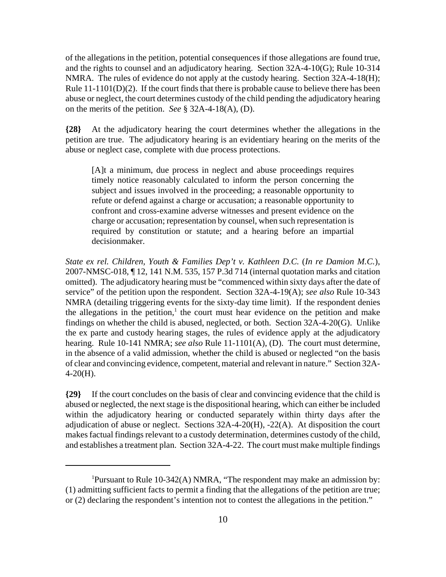of the allegations in the petition, potential consequences if those allegations are found true, and the rights to counsel and an adjudicatory hearing. Section 32A-4-10(G); Rule 10-314 NMRA. The rules of evidence do not apply at the custody hearing. Section 32A-4-18(H); Rule 11-1101(D)(2). If the court finds that there is probable cause to believe there has been abuse or neglect, the court determines custody of the child pending the adjudicatory hearing on the merits of the petition. *See* § 32A-4-18(A), (D).

**{28}** At the adjudicatory hearing the court determines whether the allegations in the petition are true. The adjudicatory hearing is an evidentiary hearing on the merits of the abuse or neglect case, complete with due process protections.

[A]t a minimum, due process in neglect and abuse proceedings requires timely notice reasonably calculated to inform the person concerning the subject and issues involved in the proceeding; a reasonable opportunity to refute or defend against a charge or accusation; a reasonable opportunity to confront and cross-examine adverse witnesses and present evidence on the charge or accusation; representation by counsel, when such representation is required by constitution or statute; and a hearing before an impartial decisionmaker.

*State ex rel. Children, Youth & Families Dep't v. Kathleen D.C.* (*In re Damion M.C.*), 2007-NMSC-018, ¶ 12, 141 N.M. 535, 157 P.3d 714 (internal quotation marks and citation omitted). The adjudicatory hearing must be "commenced within sixty days after the date of service" of the petition upon the respondent. Section 32A-4-19(A); *see also* Rule 10-343 NMRA (detailing triggering events for the sixty-day time limit). If the respondent denies the allegations in the petition,<sup>1</sup> the court must hear evidence on the petition and make findings on whether the child is abused, neglected, or both. Section 32A-4-20(G). Unlike the ex parte and custody hearing stages, the rules of evidence apply at the adjudicatory hearing. Rule 10-141 NMRA; *see also* Rule 11-1101(A), (D). The court must determine, in the absence of a valid admission, whether the child is abused or neglected "on the basis of clear and convincing evidence, competent, material and relevant in nature." Section 32A- $4-20(H)$ .

**{29}** If the court concludes on the basis of clear and convincing evidence that the child is abused or neglected, the next stage is the dispositional hearing, which can either be included within the adjudicatory hearing or conducted separately within thirty days after the adjudication of abuse or neglect. Sections 32A-4-20(H), -22(A). At disposition the court makes factual findings relevant to a custody determination, determines custody of the child, and establishes a treatment plan. Section 32A-4-22. The court must make multiple findings

<sup>&</sup>lt;sup>1</sup>Pursuant to Rule 10-342(A) NMRA, "The respondent may make an admission by: (1) admitting sufficient facts to permit a finding that the allegations of the petition are true; or (2) declaring the respondent's intention not to contest the allegations in the petition."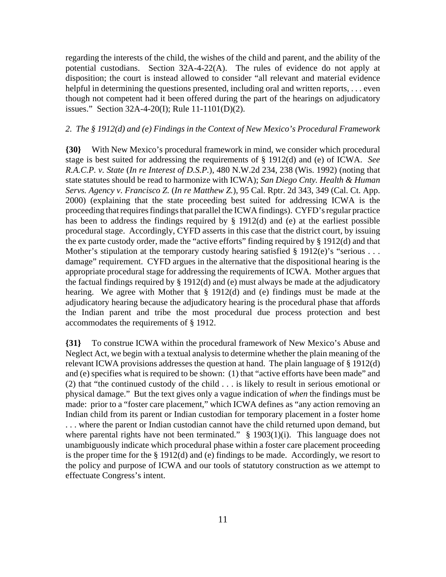regarding the interests of the child, the wishes of the child and parent, and the ability of the potential custodians. Section 32A-4-22(A). The rules of evidence do not apply at disposition; the court is instead allowed to consider "all relevant and material evidence helpful in determining the questions presented, including oral and written reports, ... even though not competent had it been offered during the part of the hearings on adjudicatory issues." Section 32A-4-20(I); Rule 11-1101(D)(2).

### *2. The § 1912(d) and (e) Findings in the Context of New Mexico's Procedural Framework*

**{30}** With New Mexico's procedural framework in mind, we consider which procedural stage is best suited for addressing the requirements of § 1912(d) and (e) of ICWA. *See R.A.C.P. v. State* (*In re Interest of D.S.P.*), 480 N.W.2d 234, 238 (Wis. 1992) (noting that state statutes should be read to harmonize with ICWA); *San Diego Cnty. Health & Human Servs. Agency v. Francisco Z.* (*In re Matthew Z.*), 95 Cal. Rptr. 2d 343, 349 (Cal. Ct. App. 2000) (explaining that the state proceeding best suited for addressing ICWA is the proceeding that requires findings that parallel the ICWA findings). CYFD's regular practice has been to address the findings required by § 1912(d) and (e) at the earliest possible procedural stage. Accordingly, CYFD asserts in this case that the district court, by issuing the ex parte custody order, made the "active efforts" finding required by § 1912(d) and that Mother's stipulation at the temporary custody hearing satisfied  $\S 1912(e)$ 's "serious . . . damage" requirement. CYFD argues in the alternative that the dispositional hearing is the appropriate procedural stage for addressing the requirements of ICWA. Mother argues that the factual findings required by § 1912(d) and (e) must always be made at the adjudicatory hearing. We agree with Mother that § 1912(d) and (e) findings must be made at the adjudicatory hearing because the adjudicatory hearing is the procedural phase that affords the Indian parent and tribe the most procedural due process protection and best accommodates the requirements of § 1912.

**{31}** To construe ICWA within the procedural framework of New Mexico's Abuse and Neglect Act, we begin with a textual analysis to determine whether the plain meaning of the relevant ICWA provisions addresses the question at hand. The plain language of § 1912(d) and (e) specifies what is required to be shown: (1) that "active efforts have been made" and (2) that "the continued custody of the child . . . is likely to result in serious emotional or physical damage." But the text gives only a vague indication of *when* the findings must be made: prior to a "foster care placement," which ICWA defines as "any action removing an Indian child from its parent or Indian custodian for temporary placement in a foster home . . . where the parent or Indian custodian cannot have the child returned upon demand, but where parental rights have not been terminated." § 1903(1)(i). This language does not unambiguously indicate which procedural phase within a foster care placement proceeding is the proper time for the § 1912(d) and (e) findings to be made. Accordingly, we resort to the policy and purpose of ICWA and our tools of statutory construction as we attempt to effectuate Congress's intent.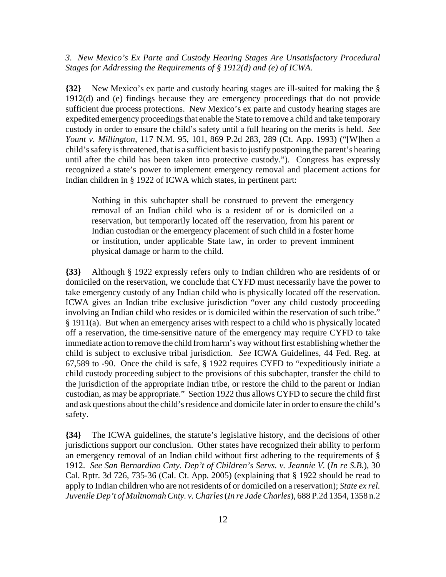### *3. New Mexico's Ex Parte and Custody Hearing Stages Are Unsatisfactory Procedural Stages for Addressing the Requirements of § 1912(d) and (e) of ICWA.*

**{32}** New Mexico's ex parte and custody hearing stages are ill-suited for making the § 1912(d) and (e) findings because they are emergency proceedings that do not provide sufficient due process protections. New Mexico's ex parte and custody hearing stages are expedited emergency proceedings that enable the State to remove a child and take temporary custody in order to ensure the child's safety until a full hearing on the merits is held. *See Yount v. Millington*, 117 N.M. 95, 101, 869 P.2d 283, 289 (Ct. App. 1993) ("[W]hen a child's safety is threatened, that is a sufficient basis to justify postponing the parent's hearing until after the child has been taken into protective custody."). Congress has expressly recognized a state's power to implement emergency removal and placement actions for Indian children in § 1922 of ICWA which states, in pertinent part:

Nothing in this subchapter shall be construed to prevent the emergency removal of an Indian child who is a resident of or is domiciled on a reservation, but temporarily located off the reservation, from his parent or Indian custodian or the emergency placement of such child in a foster home or institution, under applicable State law, in order to prevent imminent physical damage or harm to the child.

**{33}** Although § 1922 expressly refers only to Indian children who are residents of or domiciled on the reservation, we conclude that CYFD must necessarily have the power to take emergency custody of any Indian child who is physically located off the reservation. ICWA gives an Indian tribe exclusive jurisdiction "over any child custody proceeding involving an Indian child who resides or is domiciled within the reservation of such tribe." § 1911(a). But when an emergency arises with respect to a child who is physically located off a reservation, the time-sensitive nature of the emergency may require CYFD to take immediate action to remove the child from harm's way without first establishing whether the child is subject to exclusive tribal jurisdiction. *See* ICWA Guidelines, 44 Fed. Reg. at 67,589 to -90. Once the child is safe, § 1922 requires CYFD to "expeditiously initiate a child custody proceeding subject to the provisions of this subchapter, transfer the child to the jurisdiction of the appropriate Indian tribe, or restore the child to the parent or Indian custodian, as may be appropriate." Section 1922 thus allows CYFD to secure the child first and ask questions about the child's residence and domicile later in order to ensure the child's safety.

**{34}** The ICWA guidelines, the statute's legislative history, and the decisions of other jurisdictions support our conclusion. Other states have recognized their ability to perform an emergency removal of an Indian child without first adhering to the requirements of § 1912. *See San Bernardino Cnty. Dep't of Children's Servs. v. Jeannie V.* (*In re S.B.*), 30 Cal. Rptr. 3d 726, 735-36 (Cal. Ct. App. 2005) (explaining that § 1922 should be read to apply to Indian children who are not residents of or domiciled on a reservation); *State ex rel. Juvenile Dep't of Multnomah Cnty. v. Charles* (*In re Jade Charles*), 688 P.2d 1354, 1358 n.2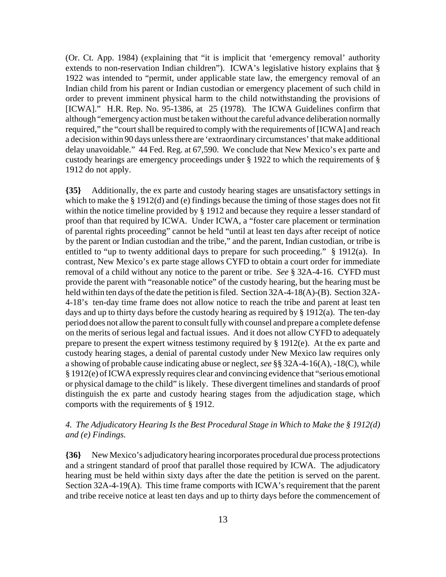(Or. Ct. App. 1984) (explaining that "it is implicit that 'emergency removal' authority extends to non-reservation Indian children"). ICWA's legislative history explains that § 1922 was intended to "permit, under applicable state law, the emergency removal of an Indian child from his parent or Indian custodian or emergency placement of such child in order to prevent imminent physical harm to the child notwithstanding the provisions of [ICWA]." H.R. Rep. No. 95-1386, at 25 (1978). The ICWA Guidelines confirm that although "emergency action must be taken without the careful advance deliberation normally required," the "court shall be required to comply with the requirements of [ICWA] and reach a decision within 90 days unless there are 'extraordinary circumstances' that make additional delay unavoidable." 44 Fed. Reg. at 67,590. We conclude that New Mexico's ex parte and custody hearings are emergency proceedings under § 1922 to which the requirements of § 1912 do not apply.

**{35}** Additionally, the ex parte and custody hearing stages are unsatisfactory settings in which to make the § 1912(d) and (e) findings because the timing of those stages does not fit within the notice timeline provided by § 1912 and because they require a lesser standard of proof than that required by ICWA. Under ICWA, a "foster care placement or termination of parental rights proceeding" cannot be held "until at least ten days after receipt of notice by the parent or Indian custodian and the tribe," and the parent, Indian custodian, or tribe is entitled to "up to twenty additional days to prepare for such proceeding." § 1912(a). In contrast, New Mexico's ex parte stage allows CYFD to obtain a court order for immediate removal of a child without any notice to the parent or tribe. *See* § 32A-4-16. CYFD must provide the parent with "reasonable notice" of the custody hearing, but the hearing must be held within ten days of the date the petition is filed. Section 32A-4-18(A)-(B). Section 32A-4-18's ten-day time frame does not allow notice to reach the tribe and parent at least ten days and up to thirty days before the custody hearing as required by § 1912(a). The ten-day period does not allow the parent to consult fully with counsel and prepare a complete defense on the merits of serious legal and factual issues. And it does not allow CYFD to adequately prepare to present the expert witness testimony required by § 1912(e). At the ex parte and custody hearing stages, a denial of parental custody under New Mexico law requires only a showing of probable cause indicating abuse or neglect, *see* §§ 32A-4-16(A), -18(C), while § 1912(e) of ICWA expressly requires clear and convincing evidence that "serious emotional or physical damage to the child" is likely. These divergent timelines and standards of proof distinguish the ex parte and custody hearing stages from the adjudication stage, which comports with the requirements of § 1912.

## *4. The Adjudicatory Hearing Is the Best Procedural Stage in Which to Make the § 1912(d) and (e) Findings.*

**{36}** New Mexico's adjudicatory hearing incorporates procedural due process protections and a stringent standard of proof that parallel those required by ICWA. The adjudicatory hearing must be held within sixty days after the date the petition is served on the parent. Section 32A-4-19(A). This time frame comports with ICWA's requirement that the parent and tribe receive notice at least ten days and up to thirty days before the commencement of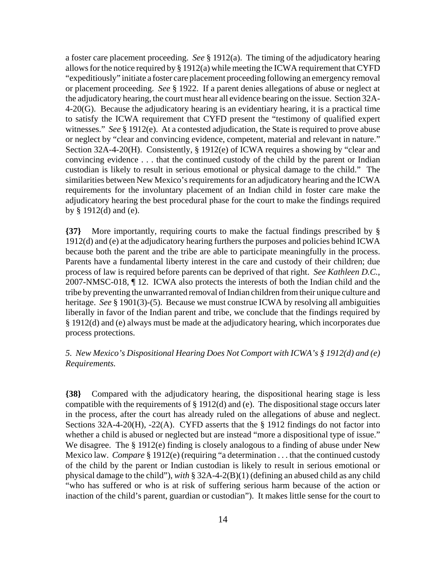a foster care placement proceeding. *See* § 1912(a). The timing of the adjudicatory hearing allows for the notice required by § 1912(a) while meeting the ICWA requirement that CYFD "expeditiously" initiate a foster care placement proceeding following an emergency removal or placement proceeding. *See* § 1922. If a parent denies allegations of abuse or neglect at the adjudicatory hearing, the court must hear all evidence bearing on the issue. Section 32A-4-20(G). Because the adjudicatory hearing is an evidentiary hearing, it is a practical time to satisfy the ICWA requirement that CYFD present the "testimony of qualified expert witnesses." *See* § 1912(e). At a contested adjudication, the State is required to prove abuse or neglect by "clear and convincing evidence, competent, material and relevant in nature." Section 32A-4-20(H). Consistently, § 1912(e) of ICWA requires a showing by "clear and convincing evidence . . . that the continued custody of the child by the parent or Indian custodian is likely to result in serious emotional or physical damage to the child." The similarities between New Mexico's requirements for an adjudicatory hearing and the ICWA requirements for the involuntary placement of an Indian child in foster care make the adjudicatory hearing the best procedural phase for the court to make the findings required by § 1912(d) and (e).

**{37}** More importantly, requiring courts to make the factual findings prescribed by § 1912(d) and (e) at the adjudicatory hearing furthers the purposes and policies behind ICWA because both the parent and the tribe are able to participate meaningfully in the process. Parents have a fundamental liberty interest in the care and custody of their children; due process of law is required before parents can be deprived of that right. *See Kathleen D.C.*, 2007-NMSC-018, ¶ 12. ICWA also protects the interests of both the Indian child and the tribe by preventing the unwarranted removal of Indian children from their unique culture and heritage. *See* § 1901(3)-(5). Because we must construe ICWA by resolving all ambiguities liberally in favor of the Indian parent and tribe, we conclude that the findings required by § 1912(d) and (e) always must be made at the adjudicatory hearing, which incorporates due process protections.

## *5. New Mexico's Dispositional Hearing Does Not Comport with ICWA's § 1912(d) and (e) Requirements.*

**{38}** Compared with the adjudicatory hearing, the dispositional hearing stage is less compatible with the requirements of § 1912(d) and (e). The dispositional stage occurs later in the process, after the court has already ruled on the allegations of abuse and neglect. Sections 32A-4-20(H), -22(A). CYFD asserts that the § 1912 findings do not factor into whether a child is abused or neglected but are instead "more a dispositional type of issue." We disagree. The § 1912(e) finding is closely analogous to a finding of abuse under New Mexico law. *Compare* § 1912(e) (requiring "a determination . . . that the continued custody of the child by the parent or Indian custodian is likely to result in serious emotional or physical damage to the child"), *with* § 32A-4-2(B)(1) (defining an abused child as any child "who has suffered or who is at risk of suffering serious harm because of the action or inaction of the child's parent, guardian or custodian"). It makes little sense for the court to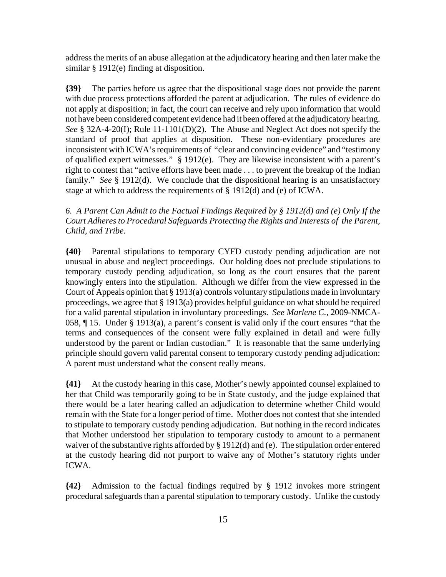address the merits of an abuse allegation at the adjudicatory hearing and then later make the similar § 1912(e) finding at disposition.

**{39}** The parties before us agree that the dispositional stage does not provide the parent with due process protections afforded the parent at adjudication. The rules of evidence do not apply at disposition; in fact, the court can receive and rely upon information that would not have been considered competent evidence had it been offered at the adjudicatory hearing. *See* § 32A-4-20(I); Rule 11-1101(D)(2). The Abuse and Neglect Act does not specify the standard of proof that applies at disposition. These non-evidentiary procedures are inconsistent with ICWA's requirements of "clear and convincing evidence" and "testimony of qualified expert witnesses." § 1912(e). They are likewise inconsistent with a parent's right to contest that "active efforts have been made . . . to prevent the breakup of the Indian family." *See* § 1912(d). We conclude that the dispositional hearing is an unsatisfactory stage at which to address the requirements of § 1912(d) and (e) of ICWA.

*6. A Parent Can Admit to the Factual Findings Required by § 1912(d) and (e) Only If the Court Adheres to Procedural Safeguards Protecting the Rights and Interests of the Parent, Child, and Tribe*.

**{40}** Parental stipulations to temporary CYFD custody pending adjudication are not unusual in abuse and neglect proceedings. Our holding does not preclude stipulations to temporary custody pending adjudication, so long as the court ensures that the parent knowingly enters into the stipulation. Although we differ from the view expressed in the Court of Appeals opinion that § 1913(a) controls voluntary stipulations made in involuntary proceedings, we agree that § 1913(a) provides helpful guidance on what should be required for a valid parental stipulation in involuntary proceedings. *See Marlene C.*, 2009-NMCA-058, ¶ 15. Under § 1913(a), a parent's consent is valid only if the court ensures "that the terms and consequences of the consent were fully explained in detail and were fully understood by the parent or Indian custodian." It is reasonable that the same underlying principle should govern valid parental consent to temporary custody pending adjudication: A parent must understand what the consent really means.

**{41}** At the custody hearing in this case, Mother's newly appointed counsel explained to her that Child was temporarily going to be in State custody, and the judge explained that there would be a later hearing called an adjudication to determine whether Child would remain with the State for a longer period of time. Mother does not contest that she intended to stipulate to temporary custody pending adjudication. But nothing in the record indicates that Mother understood her stipulation to temporary custody to amount to a permanent waiver of the substantive rights afforded by § 1912(d) and (e). The stipulation order entered at the custody hearing did not purport to waive any of Mother's statutory rights under ICWA.

**{42}** Admission to the factual findings required by § 1912 invokes more stringent procedural safeguards than a parental stipulation to temporary custody. Unlike the custody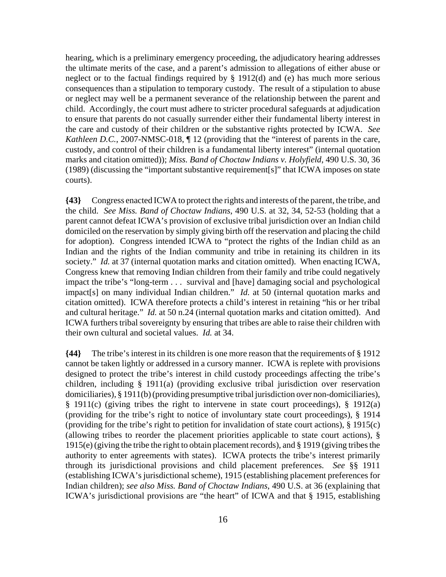hearing, which is a preliminary emergency proceeding, the adjudicatory hearing addresses the ultimate merits of the case, and a parent's admission to allegations of either abuse or neglect or to the factual findings required by § 1912(d) and (e) has much more serious consequences than a stipulation to temporary custody. The result of a stipulation to abuse or neglect may well be a permanent severance of the relationship between the parent and child. Accordingly, the court must adhere to stricter procedural safeguards at adjudication to ensure that parents do not casually surrender either their fundamental liberty interest in the care and custody of their children or the substantive rights protected by ICWA. *See Kathleen D.C.*, 2007-NMSC-018,  $\P$  12 (providing that the "interest of parents in the care, custody, and control of their children is a fundamental liberty interest" (internal quotation marks and citation omitted)); *Miss. Band of Choctaw Indians v. Holyfield*, 490 U.S. 30, 36 (1989) (discussing the "important substantive requirement[s]" that ICWA imposes on state courts).

**{43}** Congress enacted ICWA to protect the rights and interests of the parent, the tribe, and the child. *See Miss. Band of Choctaw Indians*, 490 U.S. at 32, 34, 52-53 (holding that a parent cannot defeat ICWA's provision of exclusive tribal jurisdiction over an Indian child domiciled on the reservation by simply giving birth off the reservation and placing the child for adoption). Congress intended ICWA to "protect the rights of the Indian child as an Indian and the rights of the Indian community and tribe in retaining its children in its society." *Id.* at 37 (internal quotation marks and citation omitted). When enacting ICWA, Congress knew that removing Indian children from their family and tribe could negatively impact the tribe's "long-term . . . survival and [have] damaging social and psychological impact[s] on many individual Indian children." *Id.* at 50 (internal quotation marks and citation omitted). ICWA therefore protects a child's interest in retaining "his or her tribal and cultural heritage." *Id.* at 50 n.24 (internal quotation marks and citation omitted). And ICWA furthers tribal sovereignty by ensuring that tribes are able to raise their children with their own cultural and societal values. *Id.* at 34.

**{44}** The tribe's interest in its children is one more reason that the requirements of § 1912 cannot be taken lightly or addressed in a cursory manner. ICWA is replete with provisions designed to protect the tribe's interest in child custody proceedings affecting the tribe's children, including § 1911(a) (providing exclusive tribal jurisdiction over reservation domiciliaries), § 1911(b) (providing presumptive tribal jurisdiction over non-domiciliaries), § 1911(c) (giving tribes the right to intervene in state court proceedings), § 1912(a) (providing for the tribe's right to notice of involuntary state court proceedings), § 1914 (providing for the tribe's right to petition for invalidation of state court actions), § 1915(c) (allowing tribes to reorder the placement priorities applicable to state court actions), § 1915(e) (giving the tribe the right to obtain placement records), and § 1919 (giving tribes the authority to enter agreements with states). ICWA protects the tribe's interest primarily through its jurisdictional provisions and child placement preferences. *See* §§ 1911 (establishing ICWA's jurisdictional scheme), 1915 (establishing placement preferences for Indian children); *see also Miss. Band of Choctaw Indians*, 490 U.S. at 36 (explaining that ICWA's jurisdictional provisions are "the heart" of ICWA and that § 1915, establishing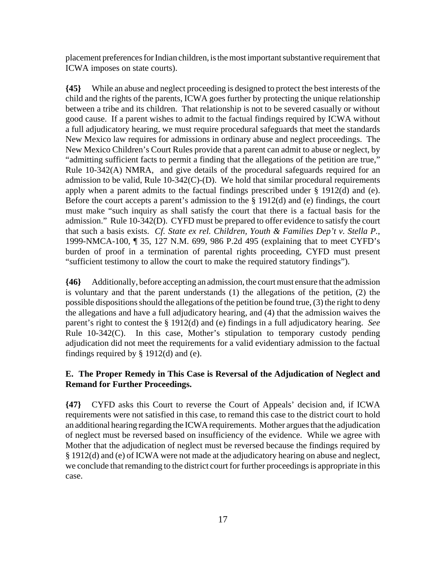placement preferences for Indian children, is the most important substantive requirement that ICWA imposes on state courts).

**{45}** While an abuse and neglect proceeding is designed to protect the best interests of the child and the rights of the parents, ICWA goes further by protecting the unique relationship between a tribe and its children. That relationship is not to be severed casually or without good cause. If a parent wishes to admit to the factual findings required by ICWA without a full adjudicatory hearing, we must require procedural safeguards that meet the standards New Mexico law requires for admissions in ordinary abuse and neglect proceedings. The New Mexico Children's Court Rules provide that a parent can admit to abuse or neglect, by "admitting sufficient facts to permit a finding that the allegations of the petition are true," Rule 10-342(A) NMRA, and give details of the procedural safeguards required for an admission to be valid, Rule 10-342(C)-(D). We hold that similar procedural requirements apply when a parent admits to the factual findings prescribed under § 1912(d) and (e). Before the court accepts a parent's admission to the § 1912(d) and (e) findings, the court must make "such inquiry as shall satisfy the court that there is a factual basis for the admission." Rule 10-342(D). CYFD must be prepared to offer evidence to satisfy the court that such a basis exists. *Cf. State ex rel. Children, Youth & Families Dep't v. Stella P.*, 1999-NMCA-100, ¶ 35, 127 N.M. 699, 986 P.2d 495 (explaining that to meet CYFD's burden of proof in a termination of parental rights proceeding, CYFD must present "sufficient testimony to allow the court to make the required statutory findings").

**{46}** Additionally, before accepting an admission, the court must ensure that the admission is voluntary and that the parent understands (1) the allegations of the petition, (2) the possible dispositions should the allegations of the petition be found true, (3) the right to deny the allegations and have a full adjudicatory hearing, and (4) that the admission waives the parent's right to contest the § 1912(d) and (e) findings in a full adjudicatory hearing. *See* Rule 10-342(C). In this case, Mother's stipulation to temporary custody pending adjudication did not meet the requirements for a valid evidentiary admission to the factual findings required by  $\S$  1912(d) and (e).

## **E. The Proper Remedy in This Case is Reversal of the Adjudication of Neglect and Remand for Further Proceedings.**

**{47}** CYFD asks this Court to reverse the Court of Appeals' decision and, if ICWA requirements were not satisfied in this case, to remand this case to the district court to hold an additional hearing regarding the ICWA requirements. Mother argues that the adjudication of neglect must be reversed based on insufficiency of the evidence. While we agree with Mother that the adjudication of neglect must be reversed because the findings required by § 1912(d) and (e) of ICWA were not made at the adjudicatory hearing on abuse and neglect, we conclude that remanding to the district court for further proceedings is appropriate in this case.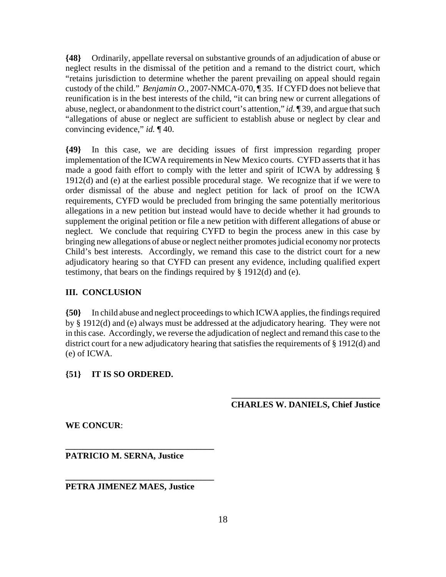**{48}** Ordinarily, appellate reversal on substantive grounds of an adjudication of abuse or neglect results in the dismissal of the petition and a remand to the district court, which "retains jurisdiction to determine whether the parent prevailing on appeal should regain custody of the child." *Benjamin O.*, 2007-NMCA-070, ¶ 35. If CYFD does not believe that reunification is in the best interests of the child, "it can bring new or current allegations of abuse, neglect, or abandonment to the district court's attention," *id.* ¶ 39, and argue that such "allegations of abuse or neglect are sufficient to establish abuse or neglect by clear and convincing evidence," *id.* ¶ 40.

**{49}** In this case, we are deciding issues of first impression regarding proper implementation of the ICWA requirements in New Mexico courts. CYFD asserts that it has made a good faith effort to comply with the letter and spirit of ICWA by addressing § 1912(d) and (e) at the earliest possible procedural stage. We recognize that if we were to order dismissal of the abuse and neglect petition for lack of proof on the ICWA requirements, CYFD would be precluded from bringing the same potentially meritorious allegations in a new petition but instead would have to decide whether it had grounds to supplement the original petition or file a new petition with different allegations of abuse or neglect. We conclude that requiring CYFD to begin the process anew in this case by bringing new allegations of abuse or neglect neither promotes judicial economy nor protects Child's best interests. Accordingly, we remand this case to the district court for a new adjudicatory hearing so that CYFD can present any evidence, including qualified expert testimony, that bears on the findings required by § 1912(d) and (e).

### **III. CONCLUSION**

**{50}** In child abuse and neglect proceedings to which ICWA applies, the findings required by § 1912(d) and (e) always must be addressed at the adjudicatory hearing. They were not in this case. Accordingly, we reverse the adjudication of neglect and remand this case to the district court for a new adjudicatory hearing that satisfies the requirements of § 1912(d) and (e) of ICWA.

### **{51} IT IS SO ORDERED.**

### **\_\_\_\_\_\_\_\_\_\_\_\_\_\_\_\_\_\_\_\_\_\_\_\_\_\_\_\_\_\_\_\_\_\_ CHARLES W. DANIELS, Chief Justice**

**WE CONCUR**:

**PATRICIO M. SERNA, Justice**

**\_\_\_\_\_\_\_\_\_\_\_\_\_\_\_\_\_\_\_\_\_\_\_\_\_\_\_\_\_\_\_\_\_\_**

**\_\_\_\_\_\_\_\_\_\_\_\_\_\_\_\_\_\_\_\_\_\_\_\_\_\_\_\_\_\_\_\_\_\_**

**PETRA JIMENEZ MAES, Justice**